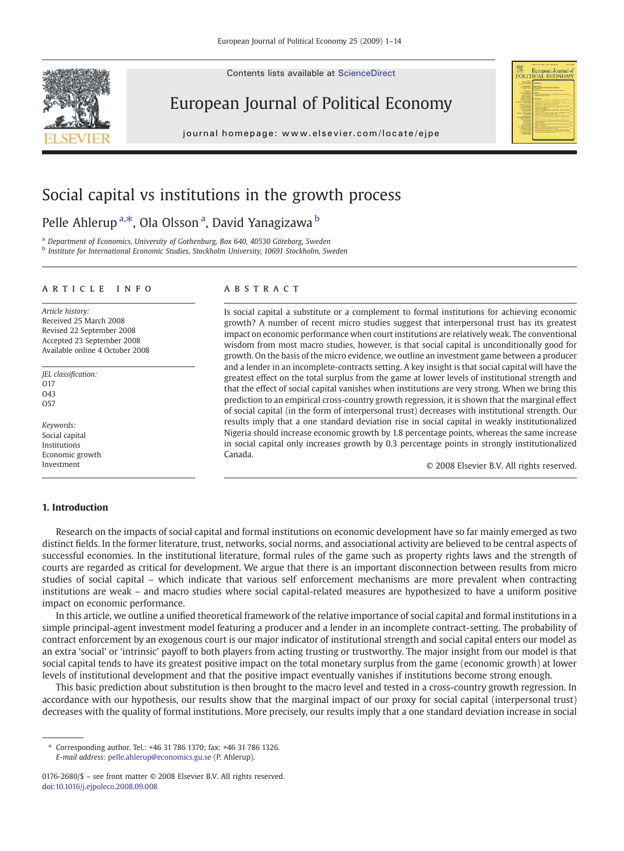Contents lists available at ScienceDirect





journal homepage: www.elsevier.com/locate/ejpe



## Social capital vs institutions in the growth process

## Pelle Ahlerup <sup>a,\*</sup>, Ola Olsson <sup>a</sup>, David Yanagizawa <sup>b</sup>

<sup>a</sup> Department of Economics, University of Gothenburg, Box 640, 40530 Göteborg, Sweden **b** Institute for International Economic Studies, Stockholm University, 10691 Stockholm, Sweden

### article info abstract

Article history: Received 25 March 2008 Revised 22 September 2008 Accepted 23 September 2008 Available online 4 October 2008

JEL classification: O17 O43 O<sub>57</sub>

Keywords: Social capital Institutions Economic growth Investment

Is social capital a substitute or a complement to formal institutions for achieving economic growth? A number of recent micro studies suggest that interpersonal trust has its greatest impact on economic performance when court institutions are relatively weak. The conventional wisdom from most macro studies, however, is that social capital is unconditionally good for growth. On the basis of the micro evidence, we outline an investment game between a producer and a lender in an incomplete-contracts setting. A key insight is that social capital will have the greatest effect on the total surplus from the game at lower levels of institutional strength and that the effect of social capital vanishes when institutions are very strong. When we bring this prediction to an empirical cross-country growth regression, it is shown that the marginal effect of social capital (in the form of interpersonal trust) decreases with institutional strength. Our results imply that a one standard deviation rise in social capital in weakly institutionalized Nigeria should increase economic growth by 1.8 percentage points, whereas the same increase in social capital only increases growth by 0.3 percentage points in strongly institutionalized Canada.

© 2008 Elsevier B.V. All rights reserved.

### 1. Introduction

Research on the impacts of social capital and formal institutions on economic development have so far mainly emerged as two distinct fields. In the former literature, trust, networks, social norms, and associational activity are believed to be central aspects of successful economies. In the institutional literature, formal rules of the game such as property rights laws and the strength of courts are regarded as critical for development. We argue that there is an important disconnection between results from micro studies of social capital – which indicate that various self enforcement mechanisms are more prevalent when contracting institutions are weak – and macro studies where social capital-related measures are hypothesized to have a uniform positive impact on economic performance.

In this article, we outline a unified theoretical framework of the relative importance of social capital and formal institutions in a simple principal-agent investment model featuring a producer and a lender in an incomplete contract-setting. The probability of contract enforcement by an exogenous court is our major indicator of institutional strength and social capital enters our model as an extra 'social' or 'intrinsic' payoff to both players from acting trusting or trustworthy. The major insight from our model is that social capital tends to have its greatest positive impact on the total monetary surplus from the game (economic growth) at lower levels of institutional development and that the positive impact eventually vanishes if institutions become strong enough.

This basic prediction about substitution is then brought to the macro level and tested in a cross-country growth regression. In accordance with our hypothesis, our results show that the marginal impact of our proxy for social capital (interpersonal trust) decreases with the quality of formal institutions. More precisely, our results imply that a one standard deviation increase in social

<sup>⁎</sup> Corresponding author. Tel.: +46 31 786 1370; fax: +46 31 786 1326. E-mail address: [pelle.ahlerup@economics.gu.se](mailto:pelle.ahlerup@economics.gu.se) (P. Ahlerup).

<sup>0176-2680/\$</sup> – see front matter © 2008 Elsevier B.V. All rights reserved. doi[:10.1016/j.ejpoleco.2008.09.008](http://dx.doi.org/10.1016/j.ejpoleco.2008.09.008)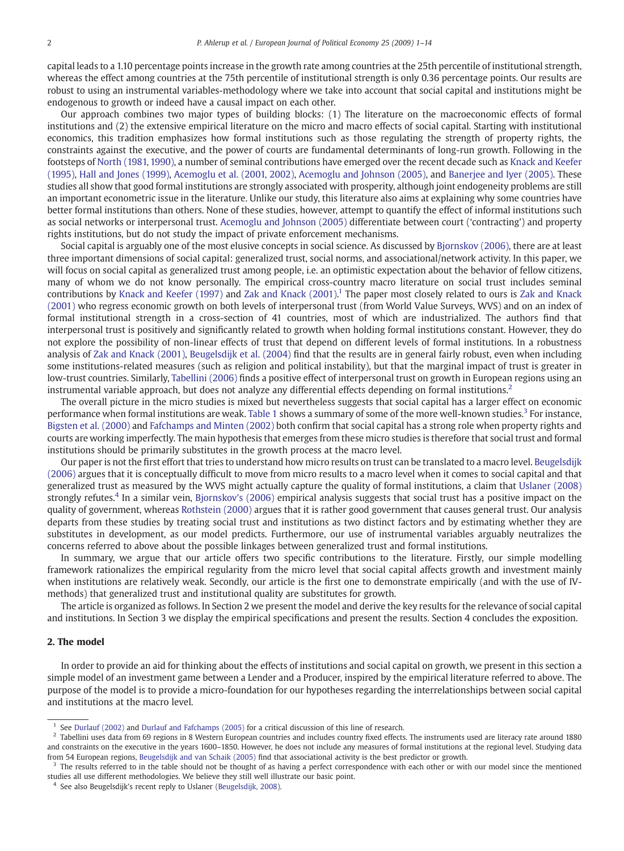capital leads to a 1.10 percentage points increase in the growth rate among countries at the 25th percentile of institutional strength, whereas the effect among countries at the 75th percentile of institutional strength is only 0.36 percentage points. Our results are robust to using an instrumental variables-methodology where we take into account that social capital and institutions might be endogenous to growth or indeed have a causal impact on each other.

Our approach combines two major types of building blocks: (1) The literature on the macroeconomic effects of formal institutions and (2) the extensive empirical literature on the micro and macro effects of social capital. Starting with institutional economics, this tradition emphasizes how formal institutions such as those regulating the strength of property rights, the constraints against the executive, and the power of courts are fundamental determinants of long-run growth. Following in the footsteps of [North \(1981, 1990\),](#page--1-0) a number of seminal contributions have emerged over the recent decade such as [Knack and Keefer](#page--1-0) [\(1995\)](#page--1-0), [Hall and Jones \(1999\),](#page--1-0) [Acemoglu et al. \(2001, 2002\),](#page--1-0) [Acemoglu and Johnson \(2005\)](#page--1-0), and [Banerjee and Iyer \(2005\)](#page--1-0). These studies all show that good formal institutions are strongly associated with prosperity, although joint endogeneity problems are still an important econometric issue in the literature. Unlike our study, this literature also aims at explaining why some countries have better formal institutions than others. None of these studies, however, attempt to quantify the effect of informal institutions such as social networks or interpersonal trust. [Acemoglu and Johnson \(2005\)](#page--1-0) differentiate between court ('contracting') and property rights institutions, but do not study the impact of private enforcement mechanisms.

Social capital is arguably one of the most elusive concepts in social science. As discussed by [Bjornskov \(2006\),](#page--1-0) there are at least three important dimensions of social capital: generalized trust, social norms, and associational/network activity. In this paper, we will focus on social capital as generalized trust among people, i.e. an optimistic expectation about the behavior of fellow citizens, many of whom we do not know personally. The empirical cross-country macro literature on social trust includes seminal contributions by [Knack and Keefer \(1997\)](#page--1-0) and [Zak and Knack \(2001\).](#page--1-0) <sup>1</sup> The paper most closely related to ours is [Zak and Knack](#page--1-0) [\(2001\)](#page--1-0) who regress economic growth on both levels of interpersonal trust (from World Value Surveys, WVS) and on an index of formal institutional strength in a cross-section of 41 countries, most of which are industrialized. The authors find that interpersonal trust is positively and significantly related to growth when holding formal institutions constant. However, they do not explore the possibility of non-linear effects of trust that depend on different levels of formal institutions. In a robustness analysis of [Zak and Knack \(2001\)](#page--1-0), [Beugelsdijk et al. \(2004\)](#page--1-0) find that the results are in general fairly robust, even when including some institutions-related measures (such as religion and political instability), but that the marginal impact of trust is greater in low-trust countries. Similarly, [Tabellini \(2006\)](#page--1-0) finds a positive effect of interpersonal trust on growth in European regions using an instrumental variable approach, but does not analyze any differential effects depending on formal institutions.<sup>2</sup>

The overall picture in the micro studies is mixed but nevertheless suggests that social capital has a larger effect on economic performance when formal institutions are weak. [Table 1](#page--1-0) shows a summary of some of the more well-known studies.<sup>3</sup> For instance, [Bigsten et al. \(2000\)](#page--1-0) and [Fafchamps and Minten \(2002\)](#page--1-0) both confirm that social capital has a strong role when property rights and courts are working imperfectly. The main hypothesis that emerges from these micro studies is therefore that social trust and formal institutions should be primarily substitutes in the growth process at the macro level.

Our paper is not the first effort that tries to understand how micro results on trust can be translated to a macro level. [Beugelsdijk](#page--1-0) [\(2006\)](#page--1-0) argues that it is conceptually difficult to move from micro results to a macro level when it comes to social capital and that generalized trust as measured by the WVS might actually capture the quality of formal institutions, a claim that [Uslaner \(2008\)](#page--1-0) strongly refutes.<sup>4</sup> In a similar vein, [Bjornskov's \(2006\)](#page--1-0) empirical analysis suggests that social trust has a positive impact on the quality of government, whereas [Rothstein \(2000\)](#page--1-0) argues that it is rather good government that causes general trust. Our analysis departs from these studies by treating social trust and institutions as two distinct factors and by estimating whether they are substitutes in development, as our model predicts. Furthermore, our use of instrumental variables arguably neutralizes the concerns referred to above about the possible linkages between generalized trust and formal institutions.

In summary, we argue that our article offers two specific contributions to the literature. Firstly, our simple modelling framework rationalizes the empirical regularity from the micro level that social capital affects growth and investment mainly when institutions are relatively weak. Secondly, our article is the first one to demonstrate empirically (and with the use of IVmethods) that generalized trust and institutional quality are substitutes for growth.

The article is organized as follows. In Section 2 we present the model and derive the key results for the relevance of social capital and institutions. In Section 3 we display the empirical specifications and present the results. Section 4 concludes the exposition.

### 2. The model

In order to provide an aid for thinking about the effects of institutions and social capital on growth, we present in this section a simple model of an investment game between a Lender and a Producer, inspired by the empirical literature referred to above. The purpose of the model is to provide a micro-foundation for our hypotheses regarding the interrelationships between social capital and institutions at the macro level.

<sup>1</sup> See [Durlauf \(2002\)](#page--1-0) and [Durlauf and Fafchamps \(2005\)](#page--1-0) for a critical discussion of this line of research.

<sup>&</sup>lt;sup>2</sup> Tabellini uses data from 69 regions in 8 Western European countries and includes country fixed effects. The instruments used are literacy rate around 1880 and constraints on the executive in the years 1600–1850. However, he does not include any measures of formal institutions at the regional level. Studying data from 54 European regions, [Beugelsdijk and van Schaik \(2005\)](#page--1-0) find that associational activity is the best predictor or growth.

 $3$  The results referred to in the table should not be thought of as having a perfect correspondence with each other or with our model since the mentioned studies all use different methodologies. We believe they still well illustrate our basic point.

<sup>4</sup> See also Beugelsdijk's recent reply to Uslaner [\(Beugelsdijk, 2008\)](#page--1-0).